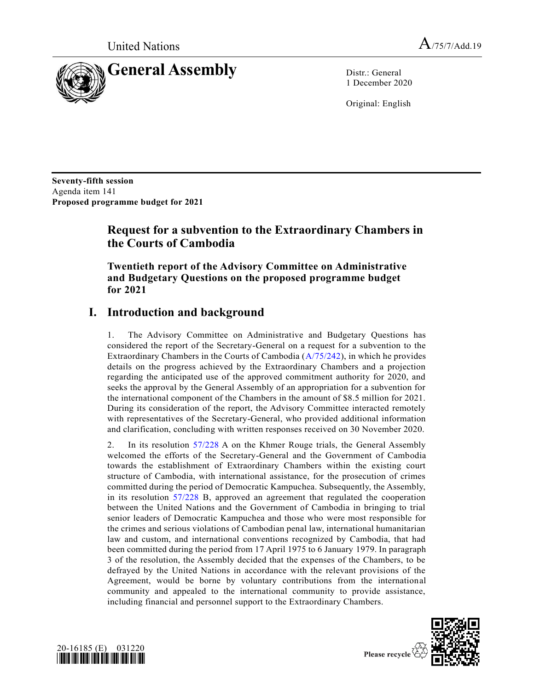

1 December 2020

Original: English

**Seventy-fifth session** Agenda item 141 **Proposed programme budget for 2021**

# **Request for a subvention to the Extraordinary Chambers in the Courts of Cambodia**

**Twentieth report of the Advisory Committee on Administrative and Budgetary Questions on the proposed programme budget for 2021**

# **I. Introduction and background**

1. The Advisory Committee on Administrative and Budgetary Questions has considered the report of the Secretary-General on a request for a subvention to the Extraordinary Chambers in the Courts of Cambodia [\(A/75/242\)](https://undocs.org/en/A/75/242), in which he provides details on the progress achieved by the Extraordinary Chambers and a projection regarding the anticipated use of the approved commitment authority for 2020, and seeks the approval by the General Assembly of an appropriation for a subvention for the international component of the Chambers in the amount of \$8.5 million for 2021. During its consideration of the report, the Advisory Committee interacted remotely with representatives of the Secretary-General, who provided additional information and clarification, concluding with written responses received on 30 November 2020.

2. In its resolution [57/228](https://undocs.org/en/A/RES/57/228) A on the Khmer Rouge trials, the General Assembly welcomed the efforts of the Secretary-General and the Government of Cambodia towards the establishment of Extraordinary Chambers within the existing court structure of Cambodia, with international assistance, for the prosecution of crimes committed during the period of Democratic Kampuchea. Subsequently, the Assembly, in its resolution [57/228 B,](https://undocs.org/en/A/RES/57/228b) approved an agreement that regulated the cooperation between the United Nations and the Government of Cambodia in bringing to trial senior leaders of Democratic Kampuchea and those who were most responsible for the crimes and serious violations of Cambodian penal law, international humanitarian law and custom, and international conventions recognized by Cambodia, that had been committed during the period from 17 April 1975 to 6 January 1979. In paragraph 3 of the resolution, the Assembly decided that the expenses of the Chambers, to be defrayed by the United Nations in accordance with the relevant provisions of the Agreement, would be borne by voluntary contributions from the international community and appealed to the international community to provide assistance, including financial and personnel support to the Extraordinary Chambers.





Please recycle  $\sqrt{ }$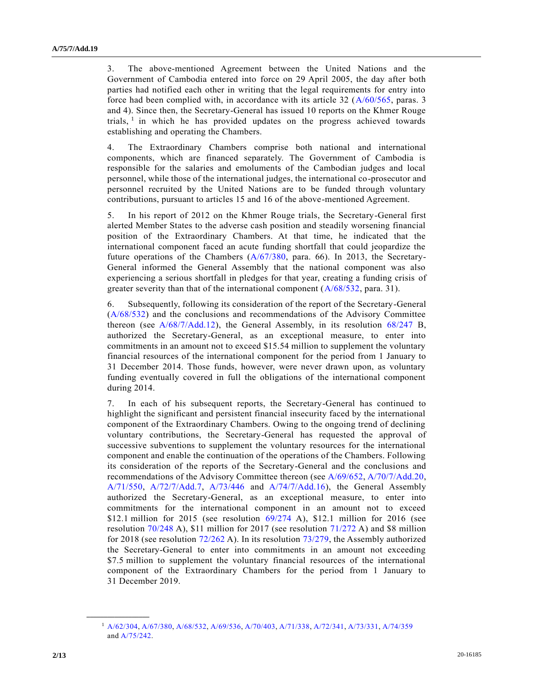3. The above-mentioned Agreement between the United Nations and the Government of Cambodia entered into force on 29 April 2005, the day after both parties had notified each other in writing that the legal requirements for entry into force had been complied with, in accordance with its article 32 [\(A/60/565,](https://undocs.org/en/A/60/565) paras. 3 and 4). Since then, the Secretary-General has issued 10 reports on the Khmer Rouge trials,  $1$  in which he has provided updates on the progress achieved towards establishing and operating the Chambers.

4. The Extraordinary Chambers comprise both national and international components, which are financed separately. The Government of Cambodia is responsible for the salaries and emoluments of the Cambodian judges and local personnel, while those of the international judges, the international co-prosecutor and personnel recruited by the United Nations are to be funded through voluntary contributions, pursuant to articles 15 and 16 of the above-mentioned Agreement.

5. In his report of 2012 on the Khmer Rouge trials, the Secretary-General first alerted Member States to the adverse cash position and steadily worsening financial position of the Extraordinary Chambers. At that time, he indicated that the international component faced an acute funding shortfall that could jeopardize the future operations of the Chambers [\(A/67/380,](https://undocs.org/en/A/67/380) para. 66). In 2013, the Secretary-General informed the General Assembly that the national component was also experiencing a serious shortfall in pledges for that year, creating a funding crisis of greater severity than that of the international component [\(A/68/532,](https://undocs.org/en/A/68/532) para. 31).

6. Subsequently, following its consideration of the report of the Secretary-General [\(A/68/532\)](https://undocs.org/en/A/68/532) and the conclusions and recommendations of the Advisory Committee thereon (see [A/68/7/Add.12\)](https://undocs.org/en/A/68/7/Add.12), the General Assembly, in its resolution [68/247 B,](https://undocs.org/en/A/RES/68/247b) authorized the Secretary-General, as an exceptional measure, to enter into commitments in an amount not to exceed \$15.54 million to supplement the voluntary financial resources of the international component for the period from 1 January to 31 December 2014. Those funds, however, were never drawn upon, as voluntary funding eventually covered in full the obligations of the international component during 2014.

7. In each of his subsequent reports, the Secretary-General has continued to highlight the significant and persistent financial insecurity faced by the international component of the Extraordinary Chambers. Owing to the ongoing trend of declining voluntary contributions, the Secretary-General has requested the approval of successive subventions to supplement the voluntary resources for the international component and enable the continuation of the operations of the Chambers. Following its consideration of the reports of the Secretary-General and the conclusions and recommendations of the Advisory Committee thereon (see [A/69/652,](https://undocs.org/en/A/69/652) [A/70/7/Add.20,](https://undocs.org/en/A/70/7/Add.20) [A/71/550,](https://undocs.org/en/A/71/550) [A/72/7/Add.7,](https://undocs.org/en/A/72/7/Add.7) [A/73/446](https://undocs.org/en/A/73/446) and [A/74/7/Add.16\)](https://undocs.org/en/A/74/7/Add.16), the General Assembly authorized the Secretary-General, as an exceptional measure, to enter into commitments for the international component in an amount not to exceed \$12.1 million for 2015 (see resolution [69/274 A\)](https://undocs.org/en/A/RES/69/274), \$12.1 million for 2016 (see resolution [70/248 A\)](https://undocs.org/en/A/RES/70/248), \$11 million for 2017 (see resolution [71/272 A\)](https://undocs.org/en/A/RES/71/272) and \$8 million for 2018 (see resolution [72/262 A\)](https://undocs.org/en/A/RES/72/262). In its resolution [73/279,](https://undocs.org/en/A/RES/73/279) the Assembly authorized the Secretary-General to enter into commitments in an amount not exceeding \$7.5 million to supplement the voluntary financial resources of the international component of the Extraordinary Chambers for the period from 1 January to 31 December 2019.

**\_\_\_\_\_\_\_\_\_\_\_\_\_\_\_\_\_\_**

<sup>1</sup> [A/62/304,](https://undocs.org/en/A/62/304) [A/67/380,](https://undocs.org/en/A/67/380) [A/68/532,](https://undocs.org/en/A/68/532) [A/69/536,](https://undocs.org/en/A/69/536) [A/70/403,](https://undocs.org/en/A/70/403) [A/71/338,](https://undocs.org/en/A/71/338) [A/72/341,](https://undocs.org/en/A/72/341) [A/73/331,](https://undocs.org/en/A/73/331) [A/74/359](https://undocs.org/en/A/74/359) an[d A/75/242.](https://undocs.org/en/A/75/242)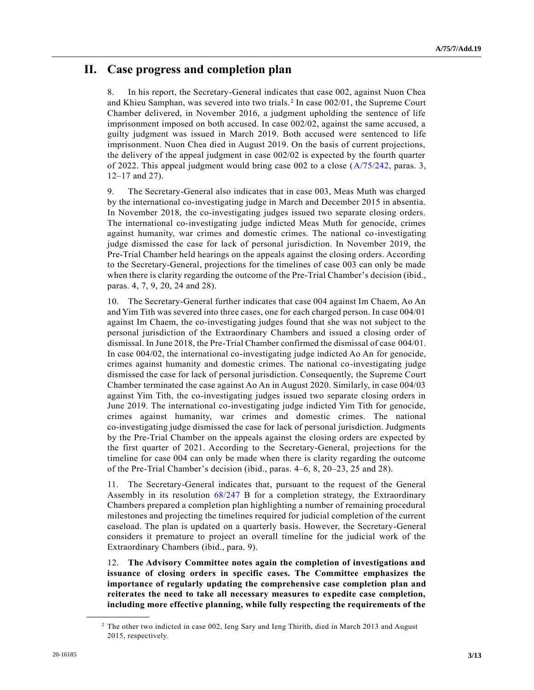# **II. Case progress and completion plan**

8. In his report, the Secretary-General indicates that case 002, against Nuon Chea and Khieu Samphan, was severed into two trials.<sup>2</sup> In case 002/01, the Supreme Court Chamber delivered, in November 2016, a judgment upholding the sentence of life imprisonment imposed on both accused. In case 002/02, against the same accused, a guilty judgment was issued in March 2019. Both accused were sentenced to life imprisonment. Nuon Chea died in August 2019. On the basis of current projections, the delivery of the appeal judgment in case 002/02 is expected by the fourth quarter of 2022. This appeal judgment would bring case 002 to a close [\(A/75/242,](https://undocs.org/en/A/75/242) paras. 3, 12–17 and 27).

9. The Secretary-General also indicates that in case 003, Meas Muth was charged by the international co-investigating judge in March and December 2015 in absentia. In November 2018, the co-investigating judges issued two separate closing orders. The international co-investigating judge indicted Meas Muth for genocide, crimes against humanity, war crimes and domestic crimes. The national co-investigating judge dismissed the case for lack of personal jurisdiction. In November 2019, the Pre-Trial Chamber held hearings on the appeals against the closing orders. According to the Secretary-General, projections for the timelines of case 003 can only be made when there is clarity regarding the outcome of the Pre-Trial Chamber's decision (ibid., paras. 4, 7, 9, 20, 24 and 28).

10. The Secretary-General further indicates that case 004 against Im Chaem, Ao An and Yim Tith was severed into three cases, one for each charged person. In case 004/01 against Im Chaem, the co-investigating judges found that she was not subject to the personal jurisdiction of the Extraordinary Chambers and issued a closing order of dismissal. In June 2018, the Pre-Trial Chamber confirmed the dismissal of case 004/01. In case 004/02, the international co-investigating judge indicted Ao An for genocide, crimes against humanity and domestic crimes. The national co-investigating judge dismissed the case for lack of personal jurisdiction. Consequently, the Supreme Court Chamber terminated the case against Ao An in August 2020. Similarly, in case 004/03 against Yim Tith, the co-investigating judges issued two separate closing orders in June 2019. The international co-investigating judge indicted Yim Tith for genocide, crimes against humanity, war crimes and domestic crimes. The national co-investigating judge dismissed the case for lack of personal jurisdiction. Judgments by the Pre-Trial Chamber on the appeals against the closing orders are expected by the first quarter of 2021. According to the Secretary-General, projections for the timeline for case 004 can only be made when there is clarity regarding the outcome of the Pre-Trial Chamber's decision (ibid., paras. 4–6, 8, 20–23, 25 and 28).

11. The Secretary-General indicates that, pursuant to the request of the General Assembly in its resolution [68/247 B](https://undocs.org/en/A/RES/68/247b) for a completion strategy, the Extraordinary Chambers prepared a completion plan highlighting a number of remaining procedural milestones and projecting the timelines required for judicial completion of the current caseload. The plan is updated on a quarterly basis. However, the Secretary-General considers it premature to project an overall timeline for the judicial work of the Extraordinary Chambers (ibid., para. 9).

12. **The Advisory Committee notes again the completion of investigations and issuance of closing orders in specific cases. The Committee emphasizes the importance of regularly updating the comprehensive case completion plan and reiterates the need to take all necessary measures to expedite case completion, including more effective planning, while fully respecting the requirements of the** 

**\_\_\_\_\_\_\_\_\_\_\_\_\_\_\_\_\_\_**

<sup>&</sup>lt;sup>2</sup> The other two indicted in case 002, Ieng Sary and Ieng Thirith, died in March 2013 and August 2015, respectively.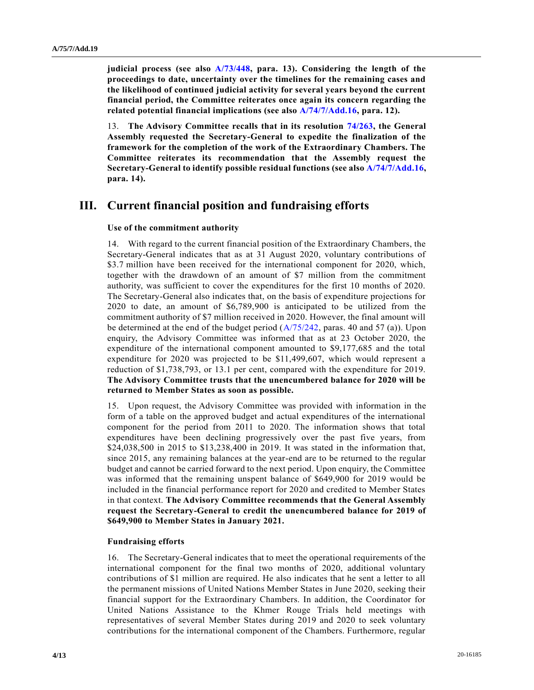**judicial process (see also [A/73/448,](https://undocs.org/en/A/73/448) para. 13). Considering the length of the proceedings to date, uncertainty over the timelines for the remaining cases and the likelihood of continued judicial activity for several years beyond the current financial period, the Committee reiterates once again its concern regarding the related potential financial implications (see also [A/74/7/Add.16,](https://undocs.org/en/A/74/7/Add.16) para. 12).**

13. **The Advisory Committee recalls that in its resolution [74/263,](https://undocs.org/en/A/RES/74/263) the General Assembly requested the Secretary-General to expedite the finalization of the framework for the completion of the work of the Extraordinary Chambers. The Committee reiterates its recommendation that the Assembly request the Secretary-General to identify possible residual functions (see also [A/74/7/Add.16,](https://undocs.org/en/A/74/7/Add.16) para. 14).**

## **III. Current financial position and fundraising efforts**

### **Use of the commitment authority**

14. With regard to the current financial position of the Extraordinary Chambers, the Secretary-General indicates that as at 31 August 2020, voluntary contributions of \$3.7 million have been received for the international component for 2020, which, together with the drawdown of an amount of \$7 million from the commitment authority, was sufficient to cover the expenditures for the first 10 months of 2020. The Secretary-General also indicates that, on the basis of expenditure projections for 2020 to date, an amount of \$6,789,900 is anticipated to be utilized from the commitment authority of \$7 million received in 2020. However, the final amount will be determined at the end of the budget period  $(A/75/242)$ , paras. 40 and 57 (a)). Upon enquiry, the Advisory Committee was informed that as at 23 October 2020, the expenditure of the international component amounted to \$9,177,685 and the total expenditure for 2020 was projected to be \$11,499,607, which would represent a reduction of \$1,738,793, or 13.1 per cent, compared with the expenditure for 2019. **The Advisory Committee trusts that the unencumbered balance for 2020 will be returned to Member States as soon as possible.**

15. Upon request, the Advisory Committee was provided with information in the form of a table on the approved budget and actual expenditures of the international component for the period from 2011 to 2020. The information shows that total expenditures have been declining progressively over the past five years, from \$24,038,500 in 2015 to \$13,238,400 in 2019. It was stated in the information that, since 2015, any remaining balances at the year-end are to be returned to the regular budget and cannot be carried forward to the next period. Upon enquiry, the Committee was informed that the remaining unspent balance of \$649,900 for 2019 would be included in the financial performance report for 2020 and credited to Member States in that context. **The Advisory Committee recommends that the General Assembly request the Secretary-General to credit the unencumbered balance for 2019 of \$649,900 to Member States in January 2021.**

#### **Fundraising efforts**

16. The Secretary-General indicates that to meet the operational requirements of the international component for the final two months of 2020, additional voluntary contributions of \$1 million are required. He also indicates that he sent a letter to all the permanent missions of United Nations Member States in June 2020, seeking their financial support for the Extraordinary Chambers. In addition, the Coordinator for United Nations Assistance to the Khmer Rouge Trials held meetings with representatives of several Member States during 2019 and 2020 to seek voluntary contributions for the international component of the Chambers. Furthermore, regular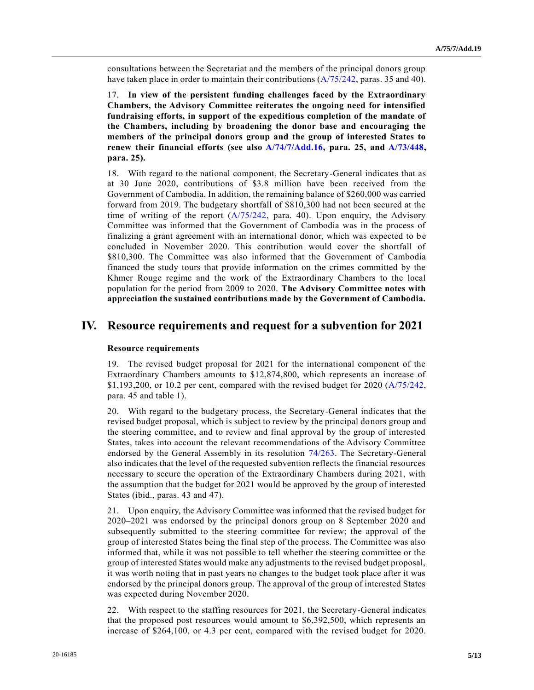consultations between the Secretariat and the members of the principal donors group have taken place in order to maintain their contributions [\(A/75/242,](https://undocs.org/en/A/75/242) paras. 35 and 40).

17. **In view of the persistent funding challenges faced by the Extraordinary Chambers, the Advisory Committee reiterates the ongoing need for intensified fundraising efforts, in support of the expeditious completion of the mandate of the Chambers, including by broadening the donor base and encouraging the members of the principal donors group and the group of interested States to renew their financial efforts (see also [A/74/7/Add.16,](https://undocs.org/en/A/74/7/Add.16) para. 25, and [A/73/448,](https://undocs.org/en/A/73/448) para. 25).**

18. With regard to the national component, the Secretary-General indicates that as at 30 June 2020, contributions of \$3.8 million have been received from the Government of Cambodia. In addition, the remaining balance of \$260,000 was carried forward from 2019. The budgetary shortfall of \$810,300 had not been secured at the time of writing of the report  $(A/75/242, \text{ para. } 40)$  $(A/75/242, \text{ para. } 40)$ . Upon enquiry, the Advisory Committee was informed that the Government of Cambodia was in the process of finalizing a grant agreement with an international donor, which was expected to be concluded in November 2020. This contribution would cover the shortfall of \$810,300. The Committee was also informed that the Government of Cambodia financed the study tours that provide information on the crimes committed by the Khmer Rouge regime and the work of the Extraordinary Chambers to the local population for the period from 2009 to 2020. **The Advisory Committee notes with appreciation the sustained contributions made by the Government of Cambodia.**

## **IV. Resource requirements and request for a subvention for 2021**

### **Resource requirements**

19. The revised budget proposal for 2021 for the international component of the Extraordinary Chambers amounts to \$12,874,800, which represents an increase of \$1,193,200, or 10.2 per cent, compared with the revised budget for 2020 [\(A/75/242,](https://undocs.org/en/A/75/242) para. 45 and table 1).

20. With regard to the budgetary process, the Secretary-General indicates that the revised budget proposal, which is subject to review by the principal donors group and the steering committee, and to review and final approval by the group of interested States, takes into account the relevant recommendations of the Advisory Committee endorsed by the General Assembly in its resolution [74/263.](https://undocs.org/en/A/RES/74/263) The Secretary-General also indicates that the level of the requested subvention reflects the financial resources necessary to secure the operation of the Extraordinary Chambers during 2021, with the assumption that the budget for 2021 would be approved by the group of interested States (ibid., paras. 43 and 47).

21. Upon enquiry, the Advisory Committee was informed that the revised budget for 2020–2021 was endorsed by the principal donors group on 8 September 2020 and subsequently submitted to the steering committee for review; the approval of the group of interested States being the final step of the process. The Committee was also informed that, while it was not possible to tell whether the steering committee or the group of interested States would make any adjustments to the revised budget proposal, it was worth noting that in past years no changes to the budget took place after it was endorsed by the principal donors group. The approval of the group of interested States was expected during November 2020.

22. With respect to the staffing resources for 2021, the Secretary-General indicates that the proposed post resources would amount to \$6,392,500, which represents an increase of \$264,100, or 4.3 per cent, compared with the revised budget for 2020.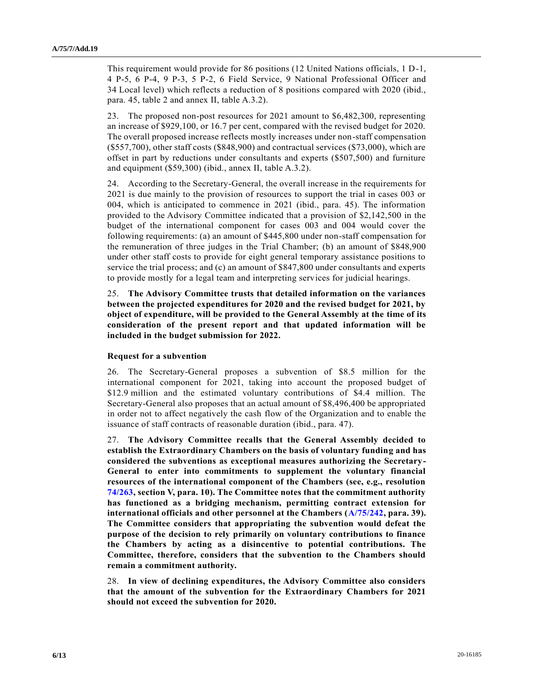This requirement would provide for 86 positions (12 United Nations officials, 1 D-1, 4 P-5, 6 P-4, 9 P-3, 5 P-2, 6 Field Service, 9 National Professional Officer and 34 Local level) which reflects a reduction of 8 positions compared with 2020 (ibid., para. 45, table 2 and annex II, table A.3.2).

23. The proposed non-post resources for 2021 amount to \$6,482,300, representing an increase of \$929,100, or 16.7 per cent, compared with the revised budget for 2020. The overall proposed increase reflects mostly increases under non-staff compensation (\$557,700), other staff costs (\$848,900) and contractual services (\$73,000), which are offset in part by reductions under consultants and experts (\$507,500) and furniture and equipment (\$59,300) (ibid., annex II, table A.3.2).

24. According to the Secretary-General, the overall increase in the requirements for 2021 is due mainly to the provision of resources to support the trial in cases 003 or 004, which is anticipated to commence in 2021 (ibid., para. 45). The information provided to the Advisory Committee indicated that a provision of \$2,142,500 in the budget of the international component for cases 003 and 004 would cover the following requirements: (a) an amount of \$445,800 under non-staff compensation for the remuneration of three judges in the Trial Chamber; (b) an amount of \$848,900 under other staff costs to provide for eight general temporary assistance positions to service the trial process; and (c) an amount of \$847,800 under consultants and experts to provide mostly for a legal team and interpreting services for judicial hearings.

25. **The Advisory Committee trusts that detailed information on the variances between the projected expenditures for 2020 and the revised budget for 2021, by object of expenditure, will be provided to the General Assembly at the time of its consideration of the present report and that updated information will be included in the budget submission for 2022.**

#### **Request for a subvention**

26. The Secretary-General proposes a subvention of \$8.5 million for the international component for 2021, taking into account the proposed budget of \$12.9 million and the estimated voluntary contributions of \$4.4 million. The Secretary-General also proposes that an actual amount of \$8,496,400 be appropriated in order not to affect negatively the cash flow of the Organization and to enable the issuance of staff contracts of reasonable duration (ibid., para. 47).

27. **The Advisory Committee recalls that the General Assembly decided to establish the Extraordinary Chambers on the basis of voluntary funding and has considered the subventions as exceptional measures authorizing the Secretary-General to enter into commitments to supplement the voluntary financial resources of the international component of the Chambers (see, e.g., resolution [74/263,](https://undocs.org/en/A/RES/74/263) section V, para. 10). The Committee notes that the commitment authority has functioned as a bridging mechanism, permitting contract extension for international officials and other personnel at the Chambers [\(A/75/242,](https://undocs.org/en/A/75/242) para. 39). The Committee considers that appropriating the subvention would defeat the purpose of the decision to rely primarily on voluntary contributions to finance the Chambers by acting as a disincentive to potential contributions. The Committee, therefore, considers that the subvention to the Chambers should remain a commitment authority.**

28. **In view of declining expenditures, the Advisory Committee also considers that the amount of the subvention for the Extraordinary Chambers for 2021 should not exceed the subvention for 2020.**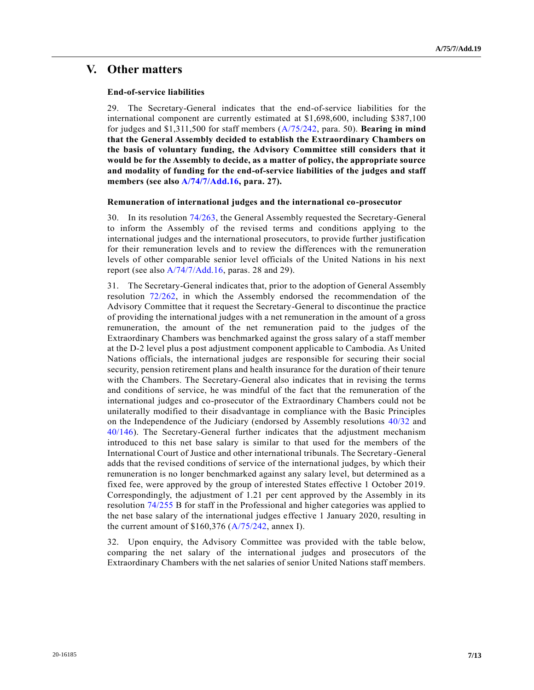### **V. Other matters**

#### **End-of-service liabilities**

29. The Secretary-General indicates that the end-of-service liabilities for the international component are currently estimated at \$1,698,600, including \$387,100 for judges and \$1,311,500 for staff members [\(A/75/242,](https://undocs.org/en/A/75/242) para. 50). **Bearing in mind that the General Assembly decided to establish the Extraordinary Chambers on the basis of voluntary funding, the Advisory Committee still considers that it would be for the Assembly to decide, as a matter of policy, the appropriate source and modality of funding for the end-of-service liabilities of the judges and staff members (see also [A/74/7/Add.16,](https://undocs.org/en/A/74/7/Add.16) para. 27).**

#### **Remuneration of international judges and the international co-prosecutor**

30. In its resolution [74/263,](https://undocs.org/en/A/RES/74/263) the General Assembly requested the Secretary-General to inform the Assembly of the revised terms and conditions applying to the international judges and the international prosecutors, to provide further justification for their remuneration levels and to review the differences with the remuneration levels of other comparable senior level officials of the United Nations in his next report (see also [A/74/7/Add.16,](https://undocs.org/en/A/74/7/Add.16) paras. 28 and 29).

31. The Secretary-General indicates that, prior to the adoption of General Assembly resolution [72/262,](https://undocs.org/en/A/RES/72/262) in which the Assembly endorsed the recommendation of the Advisory Committee that it request the Secretary-General to discontinue the practice of providing the international judges with a net remuneration in the amount of a gross remuneration, the amount of the net remuneration paid to the judges of the Extraordinary Chambers was benchmarked against the gross salary of a staff member at the D-2 level plus a post adjustment component applicable to Cambodia. As United Nations officials, the international judges are responsible for securing their social security, pension retirement plans and health insurance for the duration of their tenure with the Chambers. The Secretary-General also indicates that in revising the terms and conditions of service, he was mindful of the fact that the remuneration of the international judges and co-prosecutor of the Extraordinary Chambers could not be unilaterally modified to their disadvantage in compliance with the Basic Principles on the Independence of the Judiciary (endorsed by Assembly resolutions [40/32](https://undocs.org/en/A/RES/40/32) and [40/146\)](https://undocs.org/en/A/RES/40/146). The Secretary-General further indicates that the adjustment mechanism introduced to this net base salary is similar to that used for the members of the International Court of Justice and other international tribunals. The Secretary-General adds that the revised conditions of service of the international judges, by which their remuneration is no longer benchmarked against any salary level, but determined as a fixed fee, were approved by the group of interested States effective 1 October 2019. Correspondingly, the adjustment of 1.21 per cent approved by the Assembly in its resolution [74/255 B](https://undocs.org/en/A/RES/74/255) for staff in the Professional and higher categories was applied to the net base salary of the international judges effective 1 January 2020, resulting in the current amount of  $$160,376 (A/75/242,$  $$160,376 (A/75/242,$  annex I).

32. Upon enquiry, the Advisory Committee was provided with the table below, comparing the net salary of the international judges and prosecutors of the Extraordinary Chambers with the net salaries of senior United Nations staff members.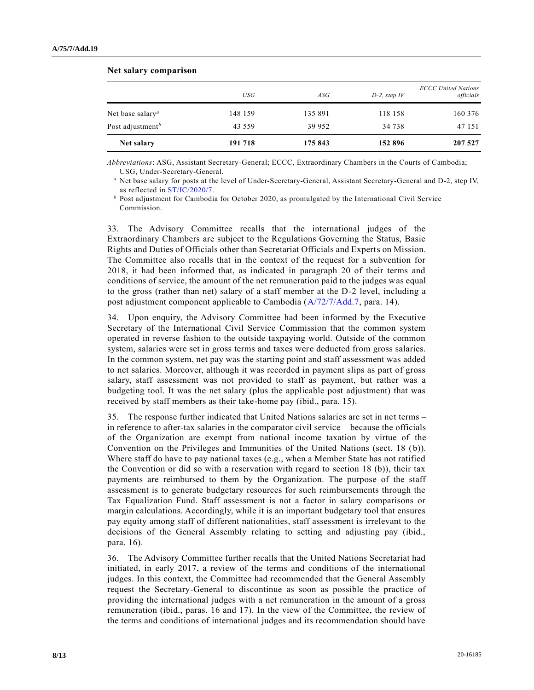| Net salary                          | 191 718    | 175 843 | 152 896         | 207 527                                 |
|-------------------------------------|------------|---------|-----------------|-----------------------------------------|
| Post adjustment <sup>b</sup>        | 43 559     | 39 952  | 34 738          | 47 151                                  |
| Net base salary <sup><i>a</i></sup> | 148 159    | 135 891 | 118 158         | 160 376                                 |
|                                     | <b>USG</b> | ASG     | $D-2$ , step IV | <b>ECCC United Nations</b><br>officials |

#### **Net salary comparison**

*Abbreviations*: ASG, Assistant Secretary-General; ECCC, Extraordinary Chambers in the Courts of Cambodia; USG, Under-Secretary-General.

*<sup>a</sup>* Net base salary for posts at the level of Under-Secretary-General, Assistant Secretary-General and D-2, step IV, as reflected in [ST/IC/2020/7.](https://undocs.org/en/ST/IC/2020/7) 

*<sup>b</sup>* Post adjustment for Cambodia for October 2020, as promulgated by the International Civil Service Commission.

33. The Advisory Committee recalls that the international judges of the Extraordinary Chambers are subject to the Regulations Governing the Status, Basic Rights and Duties of Officials other than Secretariat Officials and Experts on Mission. The Committee also recalls that in the context of the request for a subvention for 2018, it had been informed that, as indicated in paragraph 20 of their terms and conditions of service, the amount of the net remuneration paid to the judges was equal to the gross (rather than net) salary of a staff member at the D-2 level, including a post adjustment component applicable to Cambodia [\(A/72/7/Add.7,](https://undocs.org/en/A/72/7/Add.7) para. 14).

34. Upon enquiry, the Advisory Committee had been informed by the Executive Secretary of the International Civil Service Commission that the common system operated in reverse fashion to the outside taxpaying world. Outside of the common system, salaries were set in gross terms and taxes were deducted from gross salaries. In the common system, net pay was the starting point and staff assessment was added to net salaries. Moreover, although it was recorded in payment slips as part of gross salary, staff assessment was not provided to staff as payment, but rather was a budgeting tool. It was the net salary (plus the applicable post adjustment) that was received by staff members as their take-home pay (ibid., para. 15).

35. The response further indicated that United Nations salaries are set in net terms – in reference to after-tax salaries in the comparator civil service – because the officials of the Organization are exempt from national income taxation by virtue of the Convention on the Privileges and Immunities of the United Nations (sect. 18 (b)). Where staff do have to pay national taxes (e.g., when a Member State has not ratified the Convention or did so with a reservation with regard to section 18 (b)), their tax payments are reimbursed to them by the Organization. The purpose of the staff assessment is to generate budgetary resources for such reimbursements through the Tax Equalization Fund. Staff assessment is not a factor in salary comparisons or margin calculations. Accordingly, while it is an important budgetary tool that ensures pay equity among staff of different nationalities, staff assessment is irrelevant to the decisions of the General Assembly relating to setting and adjusting pay (ibid., para. 16).

36. The Advisory Committee further recalls that the United Nations Secretariat had initiated, in early 2017, a review of the terms and conditions of the international judges. In this context, the Committee had recommended that the General Assembly request the Secretary-General to discontinue as soon as possible the practice of providing the international judges with a net remuneration in the amount of a gross remuneration (ibid., paras. 16 and 17). In the view of the Committee, the review of the terms and conditions of international judges and its recommendation should have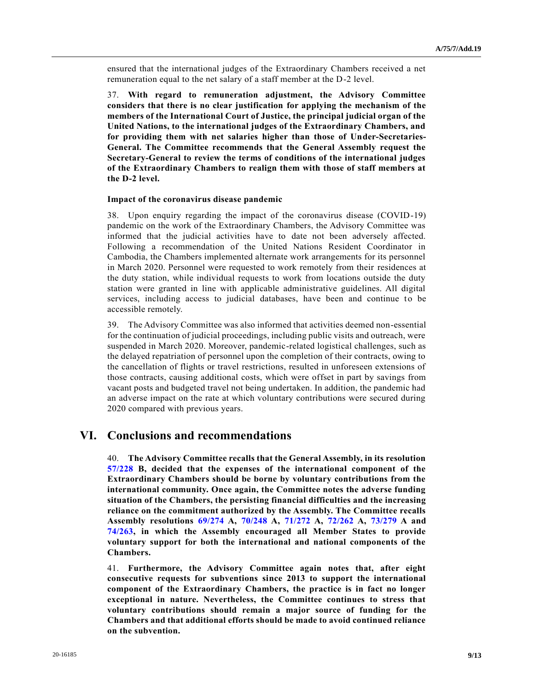ensured that the international judges of the Extraordinary Chambers received a net remuneration equal to the net salary of a staff member at the D-2 level.

37. **With regard to remuneration adjustment, the Advisory Committee considers that there is no clear justification for applying the mechanism of the members of the International Court of Justice, the principal judicial organ of the United Nations, to the international judges of the Extraordinary Chambers, and for providing them with net salaries higher than those of Under-Secretaries-General. The Committee recommends that the General Assembly request the Secretary-General to review the terms of conditions of the international judges of the Extraordinary Chambers to realign them with those of staff members at the D-2 level.**

#### **Impact of the coronavirus disease pandemic**

38. Upon enquiry regarding the impact of the coronavirus disease (COVID-19) pandemic on the work of the Extraordinary Chambers, the Advisory Committee was informed that the judicial activities have to date not been adversely affected. Following a recommendation of the United Nations Resident Coordinator in Cambodia, the Chambers implemented alternate work arrangements for its personnel in March 2020. Personnel were requested to work remotely from their residences at the duty station, while individual requests to work from locations outside the duty station were granted in line with applicable administrative guidelines. All digital services, including access to judicial databases, have been and continue to be accessible remotely.

39. The Advisory Committee was also informed that activities deemed non-essential for the continuation of judicial proceedings, including public visits and outreach, were suspended in March 2020. Moreover, pandemic-related logistical challenges, such as the delayed repatriation of personnel upon the completion of their contracts, owing to the cancellation of flights or travel restrictions, resulted in unforeseen extensions of those contracts, causing additional costs, which were offset in part by savings from vacant posts and budgeted travel not being undertaken. In addition, the pandemic had an adverse impact on the rate at which voluntary contributions were secured during 2020 compared with previous years.

## **VI. Conclusions and recommendations**

40. **The Advisory Committee recalls that the General Assembly, in its resolution [57/228 B,](https://undocs.org/en/A/RES/57/228b) decided that the expenses of the international component of the Extraordinary Chambers should be borne by voluntary contributions from the international community. Once again, the Committee notes the adverse funding situation of the Chambers, the persisting financial difficulties and the increasing reliance on the commitment authorized by the Assembly. The Committee recalls Assembly resolutions [69/274](https://undocs.org/en/A/RES/69/274) A, [70/248](https://undocs.org/en/A/RES/70/248) A, [71/272](https://undocs.org/en/A/RES/71/272) A, [72/262](https://undocs.org/en/A/RES/72/262) A, [73/279](https://undocs.org/en/A/RES/73/279) A and [74/263,](https://undocs.org/en/A/RES/74/263) in which the Assembly encouraged all Member States to provide voluntary support for both the international and national components of the Chambers.**

41. **Furthermore, the Advisory Committee again notes that, after eight consecutive requests for subventions since 2013 to support the international component of the Extraordinary Chambers, the practice is in fact no longer exceptional in nature. Nevertheless, the Committee continues to stress that voluntary contributions should remain a major source of funding for the Chambers and that additional efforts should be made to avoid continued reliance on the subvention.**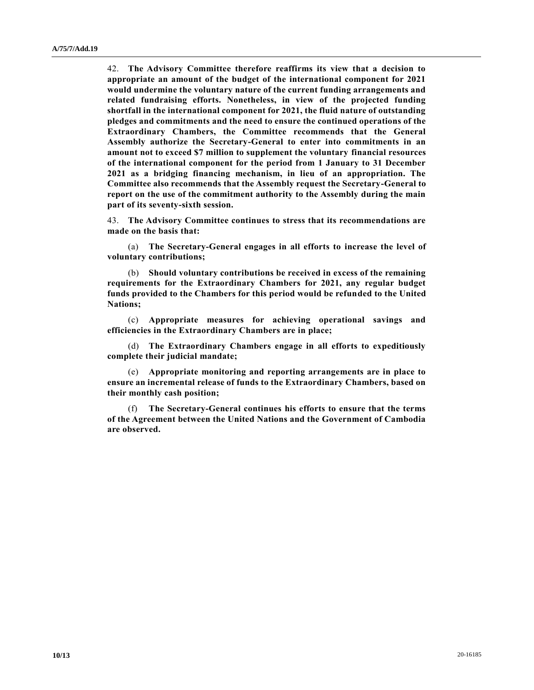42. **The Advisory Committee therefore reaffirms its view that a decision to appropriate an amount of the budget of the international component for 2021 would undermine the voluntary nature of the current funding arrangements and related fundraising efforts. Nonetheless, in view of the projected funding shortfall in the international component for 2021, the fluid nature of outstanding pledges and commitments and the need to ensure the continued operations of the Extraordinary Chambers, the Committee recommends that the General Assembly authorize the Secretary-General to enter into commitments in an amount not to exceed \$7 million to supplement the voluntary financial resources of the international component for the period from 1 January to 31 December 2021 as a bridging financing mechanism, in lieu of an appropriation. The Committee also recommends that the Assembly request the Secretary-General to report on the use of the commitment authority to the Assembly during the main part of its seventy-sixth session.**

43. **The Advisory Committee continues to stress that its recommendations are made on the basis that:**

(a) **The Secretary-General engages in all efforts to increase the level of voluntary contributions;**

(b) **Should voluntary contributions be received in excess of the remaining requirements for the Extraordinary Chambers for 2021, any regular budget funds provided to the Chambers for this period would be refunded to the United Nations;**

(c) **Appropriate measures for achieving operational savings and efficiencies in the Extraordinary Chambers are in place;**

(d) **The Extraordinary Chambers engage in all efforts to expeditiously complete their judicial mandate;**

(e) **Appropriate monitoring and reporting arrangements are in place to ensure an incremental release of funds to the Extraordinary Chambers, based on their monthly cash position;**

(f) **The Secretary-General continues his efforts to ensure that the terms of the Agreement between the United Nations and the Government of Cambodia are observed.**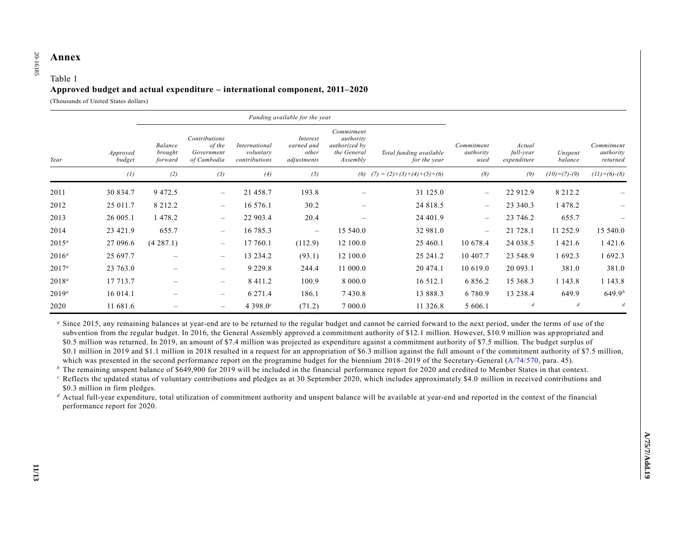# **Annex**  20-16185

20-16185

### Table 1 **Approved budget and actual expenditure – international component, 2011–2020**

(Thousands of United States dollars)

|          |                    | Funding available for the year |                                                      |                                             |                                                |                                                                     |                                         |                                 |                                    |                    |                                     |
|----------|--------------------|--------------------------------|------------------------------------------------------|---------------------------------------------|------------------------------------------------|---------------------------------------------------------------------|-----------------------------------------|---------------------------------|------------------------------------|--------------------|-------------------------------------|
| Year     | Approved<br>budget | Balance<br>brought<br>forward  | Contributions<br>of the<br>Government<br>of Cambodia | International<br>voluntary<br>contributions | Interest<br>earned and<br>other<br>adjustments | Commitment<br>authority<br>authorized by<br>the General<br>Assembly | Total funding available<br>for the year | Commitment<br>authority<br>used | Actual<br>full-year<br>expenditure | Unspent<br>balance | Commitment<br>authority<br>returned |
|          | (1)                | (2)                            | (3)                                                  | (4)                                         | (5)                                            |                                                                     | (6) $(7) = (2)+(3)+(4)+(5)+(6)$         | (8)                             | (9)                                | $(10)=(7)-(9)$     | $(11)=(6)-(8)$                      |
| 2011     | 30 834.7           | 9 4 7 2 . 5                    | $\overline{\phantom{m}}$                             | 21 458.7                                    | 193.8                                          |                                                                     | 31 125.0                                | $\qquad \qquad -$               | 22 912.9                           | 8 2 1 2 . 2        |                                     |
| 2012     | 25 011.7           | 8 2 1 2 . 2                    | $\qquad \qquad -$                                    | 16 576.1                                    | 30.2                                           | $\hspace{0.1mm}-\hspace{0.1mm}$                                     | 24 818.5                                | $\qquad \qquad -$               | 23 340.3                           | 1478.2             |                                     |
| 2013     | 26 005.1           | 478.2                          | $\qquad \qquad -$                                    | 22 903.4                                    | 20.4                                           | $\overline{\phantom{0}}$                                            | 24 401.9                                | $\overline{\phantom{m}}$        | 23 746.2                           | 655.7              |                                     |
| 2014     | 23 421.9           | 655.7                          | $\qquad \qquad -$                                    | 16 785.3                                    | $\overline{\phantom{m}}$                       | 15 540.0                                                            | 32 981.0                                | $\overline{\phantom{0}}$        | 21 728.1                           | 11 252.9           | 15 540.0                            |
| $2015^a$ | 27 096.6           | (4287.1)                       | $\qquad \qquad -$                                    | 17 760.1                                    | (112.9)                                        | 12 100.0                                                            | 25 460.1                                | 10 678.4                        | 24 038.5                           | 1 4 2 1 .6         | 1 421.6                             |
| $2016^a$ | 25 697.7           | $\qquad \qquad$                | $\qquad \qquad -$                                    | 13 234.2                                    | (93.1)                                         | 12 100.0                                                            | 25 241.2                                | 10 407.7                        | 23 548.9                           | 1692.3             | 1 692.3                             |
| $2017^a$ | 23 763.0           | $\qquad \qquad$                | $\qquad \qquad -$                                    | 9 2 2 9 . 8                                 | 244.4                                          | 11 000.0                                                            | 20 474.1                                | 10 619.0                        | 20 093.1                           | 381.0              | 381.0                               |
| $2018^a$ | 17 713.7           |                                |                                                      | 8 4 1 1 . 2                                 | 100.9                                          | 8 000.0                                                             | 16 5 12.1                               | 6 8 5 6 . 2                     | 15 368.3                           | 1 143.8            | 1 1 4 3 . 8                         |
| $2019^a$ | 16 014.1           | $\overline{\phantom{0}}$       | $\overline{\phantom{0}}$                             | 6 271.4                                     | 186.1                                          | 7430.8                                                              | 13 888.3                                | 6 7 8 0.9                       | 13 238.4                           | 649.9              | $649.9^{b}$                         |
| 2020     | 11 681.6           |                                | $\overline{\phantom{0}}$                             | 4 3 9 8.0 $^{\circ}$                        | (71.2)                                         | 7 000.0                                                             | 11 326.8                                | 5 606.1                         | $\boldsymbol{d}$                   | $\boldsymbol{d}$   | $\boldsymbol{d}$                    |

*<sup>a</sup>* Since 2015, any remaining balances at year-end are to be returned to the regular budget and cannot be carried forward to the next period, under the terms of use of the subvention from the regular budget. In 2016, the General Assembly approved a commitment authority of \$12.1 million. However, \$10.9 million was ap propriated and \$0.5 million was returned. In 2019, an amount of \$7.4 million was projected as expenditure against a commitment aut hority of \$7.5 million. The budget surplus of \$0.1 million in 2019 and \$1.1 million in 2018 resulted in a request for an appropriation of \$6.3 million against the full amount o f the commitment authority of \$7.5 million, which was presented in the second performance report on the programme budget for the biennium 2018–2019 of the Secretary-General [\(A/74/570,](https://undocs.org/en/A/74/570) para. 45).

<sup>*b*</sup> The remaining unspent balance of \$649,900 for 2019 will be included in the financial performance report for 2020 and credited to Member States in that context.

*<sup>c</sup>* Reflects the updated status of voluntary contributions and pledges as at 30 September 2020, which includes approximately \$4.0 million in received contributions and \$0.3 million in firm pledges.

<sup>*d*</sup> Actual full-year expenditure, total utilization of commitment authority and unspent balance will be available at year-end and reported in the context of the financial performance report for 2020.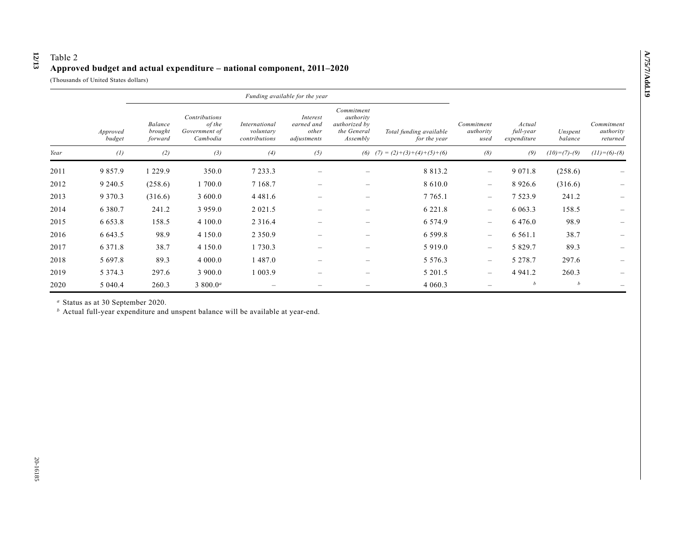## Table 2 **Approved budget and actual expenditure – national component, 2011–2020**

(Thousands of United States dollars)

**12**

**/13**

|      |                    | Funding available for the year |                                                      |                                             |                                                |                                                                     |                                         |                                 |                                    |                    |                                     |
|------|--------------------|--------------------------------|------------------------------------------------------|---------------------------------------------|------------------------------------------------|---------------------------------------------------------------------|-----------------------------------------|---------------------------------|------------------------------------|--------------------|-------------------------------------|
|      | Approved<br>budget | Balance<br>brought<br>forward  | Contributions<br>of the<br>Government of<br>Cambodia | International<br>voluntary<br>contributions | Interest<br>earned and<br>other<br>adjustments | Commitment<br>authority<br>authorized by<br>the General<br>Assembly | Total funding available<br>for the year | Commitment<br>authority<br>used | Actual<br>full-year<br>expenditure | Unspent<br>balance | Commitment<br>authority<br>returned |
| Year | (1)                | (2)                            | (3)                                                  | (4)                                         | (5)                                            |                                                                     | (6) $(7) = (2)+(3)+(4)+(5)+(6)$         | (8)                             | (9)                                | $(10)= (7)-(9)$    | $(11)=(6)-(8)$                      |
| 2011 | 9 8 5 7 . 9        | 1 229.9                        | 350.0                                                | 7 2 3 3 . 3                                 |                                                | —                                                                   | 8 8 1 3 . 2                             | $\overline{\phantom{m}}$        | 9 0 7 1 . 8                        | (258.6)            |                                     |
| 2012 | 9 240.5            | (258.6)                        | 1 700.0                                              | 7 1 68.7                                    | $\overline{\phantom{m}}$                       | $\qquad \qquad$                                                     | 8 6 1 0 .0                              | $\overline{\phantom{m}}$        | 8 9 2 6 . 6                        | (316.6)            |                                     |
| 2013 | 9 3 7 0 . 3        | (316.6)                        | 3 600.0                                              | 4 4 8 1 .6                                  |                                                | $\qquad \qquad$                                                     | 7 7 65.1                                | $\overline{\phantom{m}}$        | 7 5 2 3 . 9                        | 241.2              |                                     |
| 2014 | 6 3 8 0 . 7        | 241.2                          | 3 9 5 9 . 0                                          | 2 0 2 1 .5                                  |                                                | $\qquad \qquad$                                                     | 6 2 2 1 . 8                             | $\overline{\phantom{m}}$        | 6 0 6 3 . 3                        | 158.5              |                                     |
| 2015 | 6 6 5 3 . 8        | 158.5                          | 4 100.0                                              | 2 3 1 6 .4                                  |                                                | $\qquad \qquad$                                                     | 6 5 7 4 .9                              | $\overline{\phantom{m}}$        | 6 4 7 6 .0                         | 98.9               |                                     |
| 2016 | 6 643.5            | 98.9                           | 4 1 5 0 .0                                           | 2 3 5 0 . 9                                 |                                                | $\qquad \qquad$                                                     | 6 5 9 9 . 8                             | $\overline{\phantom{m}}$        | 6 5 6 1 . 1                        | 38.7               |                                     |
| 2017 | 6 3 7 1 . 8        | 38.7                           | 4 1 5 0 .0                                           | 1 730.3                                     | —                                              | $\hspace{0.1mm}-\hspace{0.1mm}$                                     | 5 9 1 9 .0                              | $\overline{\phantom{m}}$        | 5 8 2 9 . 7                        | 89.3               |                                     |
| 2018 | 5 697.8            | 89.3                           | 4 000.0                                              | 1 487.0                                     |                                                | $\overline{\phantom{0}}$                                            | 5 5 7 6 . 3                             | $\overline{\phantom{m}}$        | 5 2 7 8 . 7                        | 297.6              |                                     |
| 2019 | 5 3 7 4 . 3        | 297.6                          | 3 900.0                                              | 1 0 0 3 . 9                                 |                                                | $\qquad \qquad$                                                     | 5 201.5                                 | $\overline{\phantom{m}}$        | 4 9 4 1 . 2                        | 260.3              |                                     |
| 2020 | 5 040.4            | 260.3                          | 3 800.0 <sup><i>a</i></sup>                          |                                             |                                                |                                                                     | 4 0 6 0 . 3                             |                                 | b                                  | b                  |                                     |

*<sup>a</sup>* Status as at 30 September 2020.

*<sup>b</sup>* Actual full-year expenditure and unspent balance will be available at year-end.